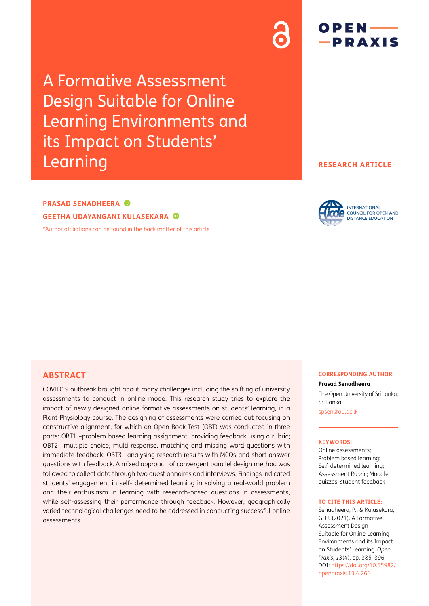A Formative Assessment Design Suitable for Online Learning Environments and its Impact on Students' Learning

**RESEARCH ARTICLE**

# **PRASAD SENADHEERA GEETHA UDAYANGANI KULASEKARA**

[\\*Author affiliations can be found in the back matter of this article](#page-10-0)



## **ABSTRACT**

COVID19 outbreak brought about many challenges including the shifting of university assessments to conduct in online mode. This research study tries to explore the impact of newly designed online formative assessments on students' learning, in a Plant Physiology course. The designing of assessments were carried out focusing on constructive alignment, for which an Open Book Test (OBT) was conducted in three parts: OBT1 –problem based learning assignment, providing feedback using a rubric; OBT2 –multiple choice, multi response, matching and missing word questions with immediate feedback; OBT3 –analysing research results with MCQs and short answer questions with feedback. A mixed approach of convergent parallel design method was followed to collect data through two questionnaires and interviews. Findings indicated students' engagement in self- determined learning in solving a real-world problem and their enthusiasm in learning with research-based questions in assessments, while self-assessing their performance through feedback. However, geographically varied technological challenges need to be addressed in conducting successful online assessments.

#### **CORRESPONDING AUTHOR:**

**Prasad Senadheera**

The Open University of Sri Lanka, Sri Lanka [spsen@ou.ac.lk](mailto:spsen@ou.ac.lk)

#### **KEYWORDS:**

Online assessments; Problem based learning; Self-determined learning; Assessment Rubric; Moodle quizzes; student feedback

#### **TO CITE THIS ARTICLE:**

Senadheera, P., & Kulasekara, G. U. (2021). A Formative Assessment Design Suitable for Online Learning Environments and its Impact on Students' Learning. *Open Praxis*, *13*(4), pp. 385–396. DOI: [https://doi.org/10.55982/](https://doi.org/10.55982/openpraxis.13.4.261) [openpraxis.13.4.261](https://doi.org/10.55982/openpraxis.13.4.261)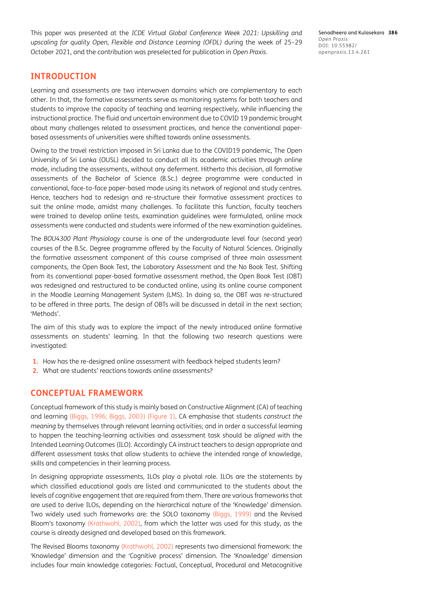This paper was presented at the *ICDE Virtual Global Conference Week 2021: Upskilling and upscaling for quality Open, Flexible and Distance Learning (OFDL)* during the week of 25–29 October 2021, and the contribution was preselected for publication in *Open Praxis*.

## **INTRODUCTION**

Learning and assessments are two interwoven domains which are complementary to each other. In that, the formative assessments serve as monitoring systems for both teachers and students to improve the capacity of teaching and learning respectively, while influencing the instructional practice. The fluid and uncertain environment due to COVID 19 pandemic brought about many challenges related to assessment practices, and hence the conventional paperbased assessments of universities were shifted towards online assessments.

Owing to the travel restriction imposed in Sri Lanka due to the COVID19 pandemic, The Open University of Sri Lanka (OUSL) decided to conduct all its academic activities through online mode, including the assessments, without any deferment. Hitherto this decision, all formative assessments of the Bachelor of Science (B.Sc.) degree programme were conducted in conventional, face-to-face paper-based mode using its network of regional and study centres. Hence, teachers had to redesign and re-structure their formative assessment practices to suit the online mode, amidst many challenges. To facilitate this function, faculty teachers were trained to develop online tests, examination guidelines were formulated, online mock assessments were conducted and students were informed of the new examination guidelines.

The *BOU4300 Plant Physiology* course is one of the undergraduate level four (second year) courses of the B.Sc. Degree programme offered by the Faculty of Natural Sciences. Originally the formative assessment component of this course comprised of three main assessment components, the Open Book Test, the Laboratory Assessment and the No Book Test. Shifting from its conventional paper-based formative assessment method, the Open Book Test (OBT) was redesigned and restructured to be conducted online, using its online course component in the Moodle Learning Management System (LMS). In doing so, the OBT was re-structured to be offered in three parts. The design of OBTs will be discussed in detail in the next section; 'Methods'.

The aim of this study was to explore the impact of the newly introduced online formative assessments on students' learning. In that the following two research questions were investigated:

- **1.** How has the re-designed online assessment with feedback helped students learn?
- **2.** What are students' reactions towards online assessments?

## **CONCEPTUAL FRAMEWORK**

Conceptual framework of this study is mainly based on Constructive Alignment (CA) of teaching and learning ([Biggs, 1996;](#page-10-1) [Biggs, 2003\)](#page-10-2) ([Figure 1](#page-2-0)). CA emphasise that students *construct the meaning* by themselves through relevant learning activities; and in order a successful learning to happen the teaching-learning activities and assessment task should be *aligned* with the Intended Learning Outcomes (ILO). Accordingly CA instruct teachers to design appropriate and different assessment tasks that allow students to achieve the intended range of knowledge, skills and competencies in their learning process.

In designing appropriate assessments, ILOs play a pivotal role. ILOs are the statements by which classified educational goals are listed and communicated to the students about the levels of cognitive engagement that are required from them. There are various frameworks that are used to derive ILOs, depending on the hierarchical nature of the 'Knowledge' dimension. Two widely used such frameworks are: the SOLO taxonomy [\(Biggs, 1999](#page-10-3)) and the Revised Bloom's taxonomy ([Krathwohl, 2002\)](#page-11-0), from which the latter was used for this study, as the course is already designed and developed based on this framework.

The Revised Blooms taxonomy [\(Krathwohl, 2002\)](#page-11-0) represents two dimensional framework: the 'Knowledge' dimension and the 'Cognitive process' dimension. The 'Knowledge' dimension includes four main knowledge categories: Factual, Conceptual, Procedural and Metacognitive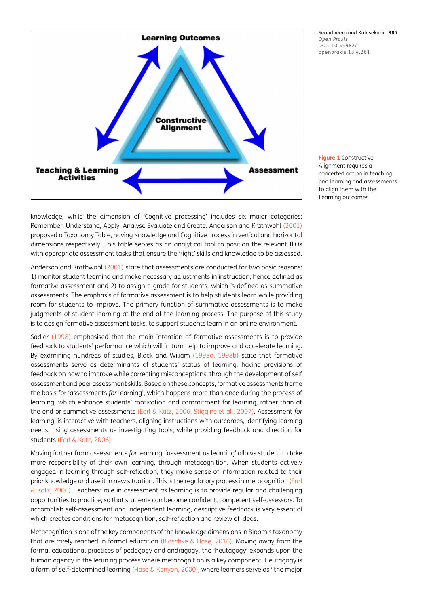

knowledge, while the dimension of 'Cognitive processing' includes six major categories: Remember, Understand, Apply, Analyse Evaluate and Create. Anderson and Krathwohl ([2001\)](#page-10-4) proposed a Taxonomy Table, having Knowledge and Cognitive process in vertical and horizontal dimensions respectively. This table serves as an analytical tool to position the relevant ILOs with appropriate assessment tasks that ensure the 'right' skills and knowledge to be assessed.

Anderson and Krathwohl [\(2001\)](#page-10-4) state that assessments are conducted for two basic reasons: 1) monitor student learning and make necessary adjustments in instruction, hence defined as formative assessment and 2) to assign a grade for students, which is defined as summative assessments. The emphasis of formative assessment is to help students learn while providing room for students to improve. The primary function of summative assessments is to make judgments of student learning at the end of the learning process. The purpose of this study is to design formative assessment tasks, to support students learn in an online environment.

Sadler ([1998](#page-11-1)) emphasised that the main intention of formative assessments is to provide feedback to students' performance which will in turn help to improve and accelerate learning. By examining hundreds of studies, Black and Wiliam ([1998a](#page-11-2), [1998b](#page-11-3)) state that formative assessments serve as determinants of students' status of learning, having provisions of feedback on how to improve while correcting misconceptions, through the development of self assessment and peer assessment skills. Based on these concepts, formative assessments frame the basis for 'assessments *for* learning', which happens more than once during the process of learning, which enhance students' motivation and commitment for learning, rather than at the end or summative assessments ([Earl & Katz, 2006](#page-11-4); [Stiggins et al., 2007](#page-11-1)). Assessment *for*  learning, is interactive with teachers, aligning instructions with outcomes, identifying learning needs, using assessments as investigating tools, while providing feedback and direction for students ([Earl & Katz, 2006](#page-11-4)).

Moving further from assessments *for* learning, 'assessment *as* learning' allows student to take more responsibility of their own learning, through metacognition. When students actively engaged in learning through self-reflection, they make sense of information related to their prior knowledge and use it in new situation. This is the regulatory process in metacognition ([Earl](#page-11-4)  [& Katz, 2006](#page-11-4)). Teachers' role in assessment *as* learning is to provide regular and challenging opportunities to practice, so that students can become confident, competent self-assessors. To accomplish self-assessment and independent learning, descriptive feedback is very essential which creates conditions for metacognition, self-reflection and review of ideas.

Metacognition is one of the key components of the knowledge dimensions in Bloom's taxonomy that are rarely reached in formal education ([Blaschke & Hase, 2016](#page-11-5)). Moving away from the formal educational practices of pedagogy and andragogy, the 'heutagogy' expands upon the human agency in the learning process where metacognition is a key component. Heutagogy is a form of self-determined learning [\(Hase & Kenyon, 2000](#page-11-6)), where learners serve as "the major

Senadheera and Kulasekara **387** *Open Praxis* DOI: 10.55982/ openpraxis.13.4.261

<span id="page-2-0"></span>**Figure 1** Constructive Alignment requires a concerted action in teaching and learning and assessments to align them with the Learning outcomes.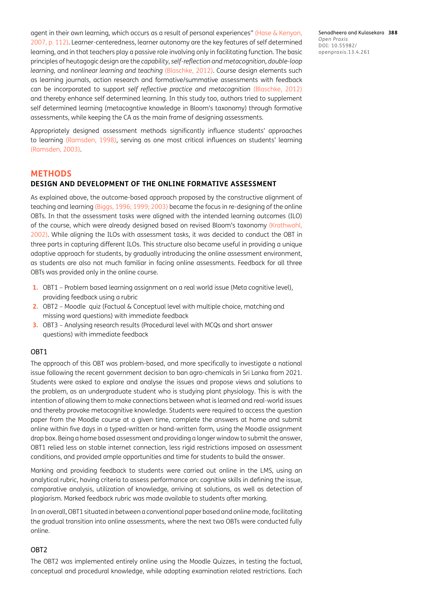agent in their own learning, which occurs as a result of personal experiences" ([Hase & Kenyon,](#page-11-7)  [2007, p. 112\)](#page-11-7). Learner-centeredness, learner autonomy are the key features of self determined learning, and in that teachers play a passive role involving only in facilitating function. The basic principles of heutagogic design are the *capability*, *self-reflection and metacognition, double-loop learning*, and *nonlinear learning and teaching* ([Blaschke, 2012\)](#page-11-8). Course design elements such as learning journals, action research and formative/summative assessments with feedback can be incorporated to support *self reflective practice and metacognition* ([Blaschke, 2012\)](#page-11-8) and thereby enhance self determined learning. In this study too, authors tried to supplement self determined learning (metacogntive knowledge in Bloom's taxonomy) through formative assessments, while keeping the CA as the main frame of designing assessments.

Appropriately designed assessment methods significantly influence students' approaches to learning [\(Ramsden, 1998\)](#page-11-9), serving as one most critical influences on students' learning [\(Ramsden, 2003](#page-11-10)).

## **METHODS DESIGN AND DEVELOPMENT OF THE ONLINE FORMATIVE ASSESSMENT**

As explained above, the outcome-based approach proposed by the constructive alignment of teaching and learning ([Biggs, 1996;](#page-10-1) [1999](#page-10-3); [2003](#page-10-2)) became the focus in re-designing of the online OBTs. In that the assessment tasks were aligned with the intended learning outcomes (ILO) of the course, which were already designed based on revised Bloom's taxonomy [\(Krathwohl,](#page-11-0)  [2002](#page-11-0)). While aligning the ILOs with assessment tasks, it was decided to conduct the OBT in three parts in capturing different ILOs. This structure also became useful in providing a unique adaptive approach for students, by gradually introducing the online assessment environment, as students are also not much familiar in facing online assessments. Feedback for all three OBTs was provided only in the online course.

- **1.** OBT1 Problem based learning assignment on a real world issue (Meta cognitive level), providing feedback using a rubric
- **2.** OBT2 Moodle quiz (Factual & Conceptual level with multiple choice, matching and missing word questions) with immediate feedback
- **3.** OBT3 Analysing research results (Procedural level with MCQs and short answer questions) with immediate feedback

## OBT1

The approach of this OBT was problem-based, and more specifically to investigate a national issue following the recent government decision to ban agro-chemicals in Sri Lanka from 2021. Students were asked to explore and analyse the issues and propose views and solutions to the problem, as an undergraduate student who is studying plant physiology. This is with the intention of allowing them to make connections between what is learned and real-world issues and thereby provoke metacognitive knowledge. Students were required to access the question paper from the Moodle course at a given time, complete the answers at home and submit online within five days in a typed-written or hand-written form, using the Moodle assignment drop box. Being a home based assessment and providing a longer window to submit the answer, OBT1 relied less on stable internet connection, less rigid restrictions imposed on assessment conditions, and provided ample opportunities and time for students to build the answer.

Marking and providing feedback to students were carried out online in the LMS, using an analytical rubric, having criteria to assess performance on: cognitive skills in defining the issue, comparative analysis, utilization of knowledge, arriving at solutions, as well as detection of plagiarism. Marked feedback rubric was made available to students after marking.

In an overall, OBT1 situated in between a conventional paper based and online mode, facilitating the gradual transition into online assessments, where the next two OBTs were conducted fully online.

### OBT2

The OBT2 was implemented entirely online using the Moodle Quizzes, in testing the factual, conceptual and procedural knowledge, while adopting examination related restrictions. Each Senadheera and Kulasekara **388** *Open Praxis* DOI: 10.55982/ openpraxis.13.4.261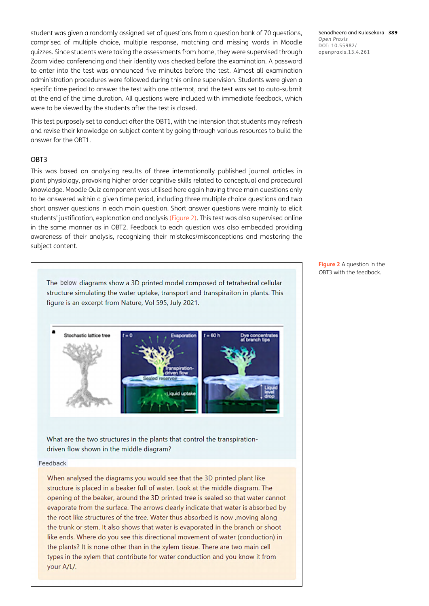student was given a randomly assigned set of questions from a question bank of 70 questions, comprised of multiple choice, multiple response, matching and missing words in Moodle quizzes. Since students were taking the assessments from home, they were supervised through Zoom video conferencing and their identity was checked before the examination. A password to enter into the test was announced five minutes before the test. Almost all examination administration procedures were followed during this online supervision. Students were given a specific time period to answer the test with one attempt, and the test was set to auto-submit at the end of the time duration. All questions were included with immediate feedback, which were to be viewed by the students after the test is closed.

This test purposely set to conduct after the OBT1, with the intension that students may refresh and revise their knowledge on subject content by going through various resources to build the answer for the OBT1.

### OBT3

This was based on analysing results of three internationally published journal articles in plant physiology, provoking higher order cognitive skills related to conceptual and procedural knowledge. Moodle Quiz component was utilised here again having three main questions only to be answered within a given time period, including three multiple choice questions and two short answer questions in each main question. Short answer questions were mainly to elicit students' justification, explanation and analysis [\(Figure 2\)](#page-4-0). This test was also supervised online in the same manner as in OBT2. Feedback to each question was also embedded providing awareness of their analysis, recognizing their mistakes/misconceptions and mastering the subject content.

The below diagrams show a 3D printed model composed of tetrahedral cellular structure simulating the water uptake, transport and transpiraiton in plants. This figure is an excerpt from Nature, Vol 595, July 2021.



#### Feedback

chastic lattice tree

When analysed the diagrams you would see that the 3D printed plant like structure is placed in a beaker full of water. Look at the middle diagram. The opening of the beaker, around the 3D printed tree is sealed so that water cannot evaporate from the surface. The arrows clearly indicate that water is absorbed by the root like structures of the tree. Water thus absorbed is now , moving along the trunk or stem. It also shows that water is evaporated in the branch or shoot like ends. Where do you see this directional movement of water (conduction) in the plants? It is none other than in the xylem tissue. There are two main cell types in the xylem that contribute for water conduction and you know it from your A/L/.

Senadheera and Kulasekara **389** *Open Praxis* DOI: 10.55982/ openpraxis.13.4.261

<span id="page-4-0"></span>**Figure 2** A question in the OBT3 with the feedback.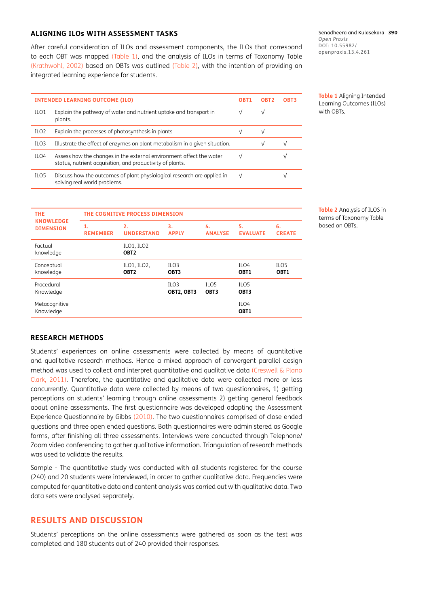### **ALIGNING ILOs WITH ASSESSMENT TASKS**

After careful consideration of ILOs and assessment components, the ILOs that correspond to each OBT was mapped ([Table 1](#page-5-0)), and the analysis of ILOs in terms of Taxonomy Table [\(Krathwohl, 2002\)](#page-11-0) based on OBTs was outlined [\(Table 2\)](#page-5-1), with the intention of providing an integrated learning experience for students.

Senadheera and Kulasekara **390** *Open Praxis* DOI: 10.55982/ openpraxis.13.4.261

| <b>INTENDED LEARNING OUTCOME (ILO)</b> |                                                                                                                                  |           |           | OBT3      |
|----------------------------------------|----------------------------------------------------------------------------------------------------------------------------------|-----------|-----------|-----------|
| ILO <sub>1</sub>                       | Explain the pathway of water and nutrient uptake and transport in<br>plants.                                                     |           |           |           |
| ILO <sub>2</sub>                       | Explain the processes of photosynthesis in plants                                                                                |           | V         |           |
| ILO <sub>3</sub>                       | Illustrate the effect of enzymes on plant metabolism in a given situation.                                                       |           | $\sqrt{}$ | $\sqrt{}$ |
| ILO4                                   | Assess how the changes in the external environment affect the water<br>status, nutrient acquisition, and productivity of plants. |           |           |           |
| ILO <sub>5</sub>                       | Discuss how the outcomes of plant physiological research are applied in<br>solving real world problems.                          | $\sqrt{}$ |           |           |

<span id="page-5-0"></span>**Table 1** Aligning Intended Learning Outcomes (ILOs) with OBTs.

<span id="page-5-1"></span>**Table 2** Analysis of ILOS in terms of Taxonomy Table based on OBTs.

| <b>THE</b>                           | THE COGNITIVE PROCESS DIMENSION |                                 |                                |                          |                                      |                          |  |  |
|--------------------------------------|---------------------------------|---------------------------------|--------------------------------|--------------------------|--------------------------------------|--------------------------|--|--|
| <b>KNOWLEDGE</b><br><b>DIMENSION</b> | 1.<br><b>REMEMBER</b>           | 2.<br><b>UNDERSTAND</b>         | 3.<br><b>APPLY</b>             | 4.<br><b>ANALYSE</b>     | 5.<br><b>EVALUATE</b>                | 6.<br><b>CREATE</b>      |  |  |
| Factual<br>knowledge                 |                                 | ILO1, ILO2<br>OBT <sub>2</sub>  |                                |                          |                                      |                          |  |  |
| Conceptual<br>knowledge              |                                 | ILO1, ILO2,<br>OBT <sub>2</sub> | TLO <sub>3</sub><br>OBT3       |                          | ILO <sub>4</sub><br>OBT <sub>1</sub> | TLO <sub>5</sub><br>OBT1 |  |  |
| Procedural<br>Knowledge              |                                 |                                 | TLO <sub>3</sub><br>OBT2, OBT3 | TLO <sub>5</sub><br>OBT3 | ILO <sub>5</sub><br>OBT3             |                          |  |  |
| Metacognitive<br>Knowledge           |                                 |                                 |                                |                          | ILO <sub>4</sub><br>OBT <sub>1</sub> |                          |  |  |

#### **RESEARCH METHODS**

Students' experiences on online assessments were collected by means of quantitative and qualitative research methods. Hence a mixed approach of convergent parallel design method was used to collect and interpret quantitative and qualitative data [\(Creswell & Plano](#page-11-11)  [Clark, 2011](#page-11-11)). Therefore, the quantitative and qualitative data were collected more or less concurrently. Quantitative data were collected by means of two questionnaires, 1) getting perceptions on students' learning through online assessments 2) getting general feedback about online assessments. The first questionnaire was developed adapting the Assessment Experience Questionnaire by Gibbs [\(2010\)](#page-11-12). The two questionnaires comprised of close ended questions and three open ended questions. Both questionnaires were administered as Google forms, after finishing all three assessments. Interviews were conducted through Telephone/ Zoom video conferencing to gather qualitative information. Triangulation of research methods was used to validate the results.

Sample - The quantitative study was conducted with all students registered for the course (240) and 20 students were interviewed, in order to gather qualitative data. Frequencies were computed for quantitative data and content analysis was carried out with qualitative data. Two data sets were analysed separately.

## **RESULTS AND DISCUSSION**

Students' perceptions on the online assessments were gathered as soon as the test was completed and 180 students out of 240 provided their responses.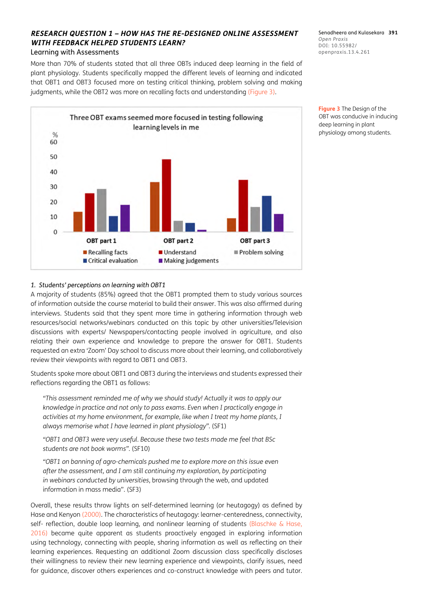### **RESEARCH QUESTION 1 – HOW HAS THE RE-DESIGNED ONLINE ASSESSMENT WITH FEEDBACK HELPED STUDENTS LEARN?** Learning with Assessments

More than 70% of students stated that all three OBTs induced deep learning in the field of plant physiology. Students specifically mapped the different levels of learning and indicated that OBT1 and OBT3 focused more on testing critical thinking, problem solving and making judgments, while the OBT2 was more on recalling facts and understanding [\(Figure 3\)](#page-6-0).

Three OBT exams seemed more focused in testing following learning levels in me  $%$ 60 50 40 30 20  $10$  $\mathcal{C}$ OBT part 1 OBT part 2 OBT part 3 Recalling facts **Understand** Problem solving Critical evaluation Making judgements

Senadheera and Kulasekara **391** *Open Praxis* DOI: 10.55982/ openpraxis.13.4.261

<span id="page-6-0"></span>**Figure 3** The Design of the OBT was conducive in inducing deep learning in plant physiology among students.

## *1. Students' perceptions on learning with OBT1*

A majority of students (85%) agreed that the OBT1 prompted them to study various sources of information outside the course material to build their answer. This was also affirmed during interviews. Students said that they spent more time in gathering information through web resources/social networks/webinars conducted on this topic by other universities/Television discussions with experts/ Newspapers/contacting people involved in agriculture, and also relating their own experience and knowledge to prepare the answer for OBT1. Students requested an extra 'Zoom' Day school to discuss more about their learning, and collaboratively review their viewpoints with regard to OBT1 and OBT3.

Students spoke more about OBT1 and OBT3 during the interviews and students expressed their reflections regarding the OBT1 as follows:

*"This assessment reminded me of why we should study! Actually it was to apply our knowledge in practice and not only to pass exams. Even when I practically engage in activities at my home environment, for example, like when I treat my home plants, I always memorise what I have learned in plant physiology".* (SF1)

*"OBT1 and OBT3 were very useful. Because these two tests made me feel that BSc students are not book worms".* (SF10)

*"OBT1 on banning of agro-chemicals pushed me to explore more on this issue even after the assessment, and I am still continuing my exploration, by participating in webinars conducted by universities*, browsing through the web, and updated information in mass media". (SF3)

Overall, these results throw lights on self-determined learning (or heutagogy) as defined by Hase and Kenyon ([2000](#page-11-6)). The characteristics of heutagogy: learner-centeredness, connectivity, self- reflection, double loop learning, and nonlinear learning of students (Blaschke & Hase, [2016](#page-11-5)) became quite apparent as students proactively engaged in exploring information using technology, connecting with people, sharing information as well as reflecting on their learning experiences. Requesting an additional Zoom discussion class specifically discloses their willingness to review their new learning experience and viewpoints, clarify issues, need for guidance, discover others experiences and co-construct knowledge with peers and tutor.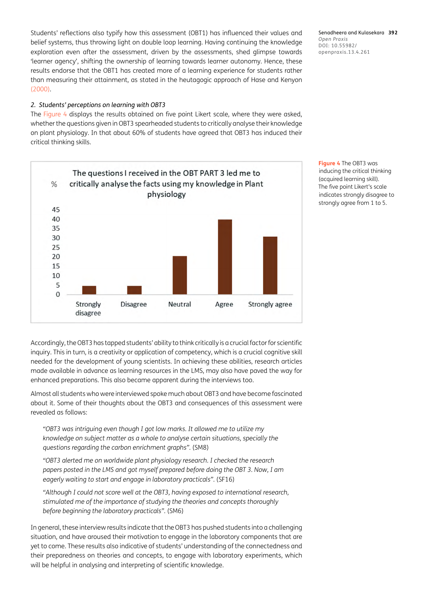Students' reflections also typify how this assessment (OBT1) has influenced their values and belief systems, thus throwing light on double loop learning. Having continuing the knowledge exploration even after the assessment, driven by the assessments, shed glimpse towards 'learner agency', shifting the ownership of learning towards learner autonomy. Hence, these results endorse that the OBT1 has created more of a learning experience for students rather than measuring their attainment, as stated in the heutagogic approach of Hase and Kenyon [\(2000](#page-11-6)).

## *2. Students' perceptions on learning with OBT3*

The [Figure 4](#page-7-0) displays the results obtained on five point Likert scale, where they were asked, whether the questions given in OBT3 spearheaded students to critically analyse their knowledge on plant physiology. In that about 60% of students have agreed that OBT3 has induced their critical thinking skills.



<span id="page-7-0"></span>**Figure 4** The OBT3 was inducing the critical thinking (acquired learning skill). The five point Likert's scale indicates strongly disagree to strongly agree from 1 to 5.

Accordingly, the OBT3 has tapped students' ability to think critically is a crucial factor for scientific inquiry. This in turn, is a creativity or application of competency, which is a crucial cognitive skill needed for the development of young scientists. In achieving these abilities, research articles made available in advance as learning resources in the LMS, may also have paved the way for enhanced preparations. This also became apparent during the interviews too.

Almost all students who were interviewed spoke much about OBT3 and have become fascinated about it. Some of their thoughts about the OBT3 and consequences of this assessment were revealed as follows:

*"OBT3 was intriguing even though I got low marks. It allowed me to utilize my knowledge on subject matter as a whole to analyse certain situations, specially the questions regarding the carbon enrichment graphs".* (SM8)

*"OBT3 alerted me on worldwide plant physiology research. I checked the research papers posted in the LMS and got myself prepared before doing the OBT 3. Now, I am eagerly waiting to start and engage in laboratory practicals".* (SF16)

*"Although I could not score well at the OBT3, having exposed to international research, stimulated me of the importance of studying the theories and concepts thoroughly before beginning the laboratory practicals".* (SM6)

In general, these interview results indicate that the OBT3 has pushed students into a challenging situation, and have aroused their motivation to engage in the laboratory components that are yet to come. These results also indicative of students' understanding of the connectedness and their preparedness on theories and concepts, to engage with laboratory experiments, which will be helpful in analysing and interpreting of scientific knowledge.

Senadheera and Kulasekara **392** *Open Praxis* DOI: 10.55982/ openpraxis.13.4.261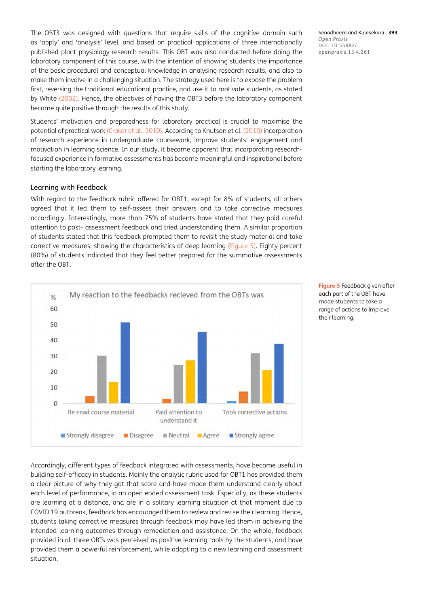The OBT3 was designed with questions that require skills of the cognitive domain such as 'apply' and 'analysis' level, and based on practical applications of three internationally published plant physiology research results. This OBT was also conducted before doing the laboratory component of this course, with the intention of showing students the importance of the basic procedural and conceptual knowledge in analysing research results, and also to make them involve in a challenging situation. The strategy used here is to expose the problem first, reversing the traditional educational practice, and use it to motivate students, as stated by White ([2002](#page-11-13)). Hence, the objectives of having the OBT3 before the laboratory component became quite positive through the results of this study.

Students' motivation and preparedness for laboratory practical is crucial to maximise the potential of practical work ([Croker et al., 2010](#page-11-14)). According to Knutson et al. ([2010](#page-11-15)) incorporation of research experience in undergraduate coursework, improve students' engagement and motivation in learning science. In our study, it became apparent that incorporating researchfocused experience in formative assessments has become meaningful and inspirational before starting the laboratory learning.

#### Learning with Feedback

With regard to the feedback rubric offered for OBT1, except for 8% of students, all others agreed that it led them to self-assess their answers and to take corrective measures accordingly. Interestingly, more than 75% of students have stated that they paid careful attention to post- assessment feedback and tried understanding them. A similar proportion of students stated that this feedback prompted them to revisit the study material and take corrective measures, showing the characteristics of deep learning [\(Figure 5](#page-8-0)). Eighty percent (80%) of students indicated that they feel better prepared for the summative assessments after the OBT.



<span id="page-8-0"></span>**Figure 5** Feedback given after each part of the OBT have made students to take a range of actions to improve their learning.

Accordingly, different types of feedback integrated with assessments, have become useful in building self-efficacy in students. Mainly the analytic rubric used for OBT1 has provided them a clear picture of why they got that score and have made them understand clearly about each level of performance, in an open ended assessment task. Especially, as these students are learning at a distance, and are in a solitary learning situation at that moment due to COVID 19 outbreak, feedback has encouraged them to review and revise their learning. Hence, students taking corrective measures through feedback may have led them in achieving the intended learning outcomes through remediation and assistance. On the whole, feedback provided in all three OBTs was perceived as positive learning tools by the students, and have provided them a powerful reinforcement, while adapting to a new learning and assessment situation.

Senadheera and Kulasekara **393** *Open Praxis* DOI: 10.55982/ openpraxis.13.4.261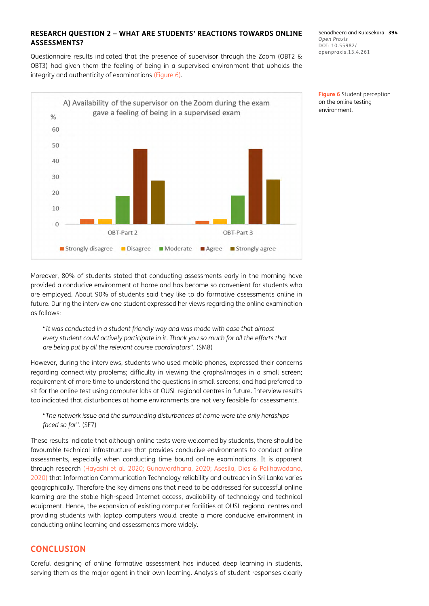## **RESEARCH QUESTION 2 – WHAT ARE STUDENTS' REACTIONS TOWARDS ONLINE ASSESSMENTS?**

Questionnaire results indicated that the presence of supervisor through the Zoom (OBT2 & OBT3) had given them the feeling of being in a supervised environment that upholds the integrity and authenticity of examinations [\(Figure 6](#page-9-0)).



Senadheera and Kulasekara **394** *Open Praxis* DOI: 10.55982/ openpraxis.13.4.261

<span id="page-9-0"></span>**Figure 6** Student perception on the online testing environment.

Moreover, 80% of students stated that conducting assessments early in the morning have provided a conducive environment at home and has become so convenient for students who are employed. About 90% of students said they like to do formative assessments online in future. During the interview one student expressed her views regarding the online examination as follows:

"*It was conducted in a student friendly way and was made with ease that almost every student could actively participate in it. Thank you so much for all the efforts that are being put by all the relevant course coordinators*". (SM8)

However, during the interviews, students who used mobile phones, expressed their concerns regarding connectivity problems; difficulty in viewing the graphs/images in a small screen; requirement of more time to understand the questions in small screens; and had preferred to sit for the online test using computer labs at OUSL regional centres in future. Interview results too indicated that disturbances at home environments are not very feasible for assessments.

"*The network issue and the surrounding disturbances at home were the only hardships faced so far*". (SF7)

These results indicate that although online tests were welcomed by students, there should be favourable technical infrastructure that provides conducive environments to conduct online assessments, especially when conducting time bound online examinations. It is apparent through research [\(Hayashi et al. 2020](#page-11-16); [Gunawardhana, 2020;](#page-11-17) [Aseslla, Dias & Palihawadana,](#page-10-5)  [2020](#page-10-5)) that Information Communication Technology reliability and outreach in Sri Lanka varies geographically. Therefore the key dimensions that need to be addressed for successful online learning are the stable high-speed Internet access, availability of technology and technical equipment. Hence, the expansion of existing computer facilities at OUSL regional centres and providing students with laptop computers would create a more conducive environment in conducting online learning and assessments more widely.

## **CONCLUSION**

Careful designing of online formative assessment has induced deep learning in students, serving them as the major agent in their own learning. Analysis of student responses clearly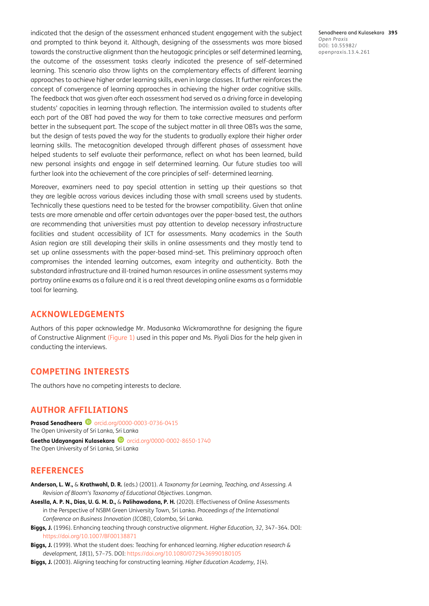indicated that the design of the assessment enhanced student engagement with the subject and prompted to think beyond it. Although, designing of the assessments was more biased towards the constructive alignment than the heutagogic principles or self determined learning, the outcome of the assessment tasks clearly indicated the presence of self-determined learning. This scenario also throw lights on the complementary effects of different learning approaches to achieve higher order learning skills, even in large classes. It further reinforces the concept of convergence of learning approaches in achieving the higher order cognitive skills. The feedback that was given after each assessment had served as a driving force in developing students' capacities in learning through reflection. The intermission availed to students after each part of the OBT had paved the way for them to take corrective measures and perform better in the subsequent part. The scope of the subject matter in all three OBTs was the same, but the design of tests paved the way for the students to gradually explore their higher order learning skills. The metacognition developed through different phases of assessment have helped students to self evaluate their performance, reflect on what has been learned, build new personal insights and engage in self determined learning. Our future studies too will further look into the achievement of the core principles of self- determined learning.

Moreover, examiners need to pay special attention in setting up their questions so that they are legible across various devices including those with small screens used by students. Technically these questions need to be tested for the browser compatibility. Given that online tests are more amenable and offer certain advantages over the paper-based test, the authors are recommending that universities must pay attention to develop necessary infrastructure facilities and student accessibility of ICT for assessments. Many academics in the South Asian region are still developing their skills in online assessments and they mostly tend to set up online assessments with the paper-based mind-set. This preliminary approach often compromises the intended learning outcomes, exam integrity and authenticity. Both the substandard infrastructure and ill-trained human resources in online assessment systems may portray online exams as a failure and it is a real threat developing online exams as a formidable tool for learning.

## **ACKNOWLEDGEMENTS**

Authors of this paper acknowledge Mr. Madusanka Wickramarathne for designing the figure of Constructive Alignment [\(Figure 1](#page-2-0)) used in this paper and Ms. Piyali Dias for the help given in conducting the interviews.

## **COMPETING INTERESTS**

The authors have no competing interests to declare.

## <span id="page-10-0"></span>**AUTHOR AFFILIATIONS**

**Prasad Senadheera D** [orcid.org/0000-0003-0736-0415](https://orcid.org/0000-0003-0736-0415
) The Open University of Sri Lanka, Sri Lanka

Geetha Udayangani Kulasekara **D** [orcid.org/0000-0002-8650-1740](https://orcid.org/0000-0002-8650-1740) The Open University of Sri Lanka, Sri Lanka

## **REFERENCES**

- <span id="page-10-4"></span>**Anderson, L. W.,** & **Krathwohl, D. R.** (eds.) (2001). *A Taxonomy for Learning, Teaching, and Assessing. A Revision of Bloom's Taxonomy of Educational Objectives*. Longman.
- <span id="page-10-5"></span>**Aseslla, A. P. N., Dias, U. G. M. D.,** & **Palihawadana, P. H.** (2020). Effectiveness of Online Assessments in the Perspective of NSBM Green University Town, Sri Lanka. *Proceedings of the International Conference on Business Innovation (ICOBI)*, Colombo, Sri Lanka.
- <span id="page-10-1"></span>**Biggs, J.** (1996). Enhancing teaching through constructive alignment. *Higher Education, 32*, 347–364. DOI: <https://doi.org/10.1007/BF00138871>
- <span id="page-10-3"></span>**Biggs, J.** (1999). What the student does: Teaching for enhanced learning. *Higher education research & development, 18*(1), 57–75. DOI:<https://doi.org/10.1080/0729436990180105>
- <span id="page-10-2"></span>**Biggs, J.** (2003). Aligning teaching for constructing learning. *Higher Education Academy*, *1*(4).

Senadheera and Kulasekara **395** *Open Praxis* DOI: 10.55982/ openpraxis.13.4.261